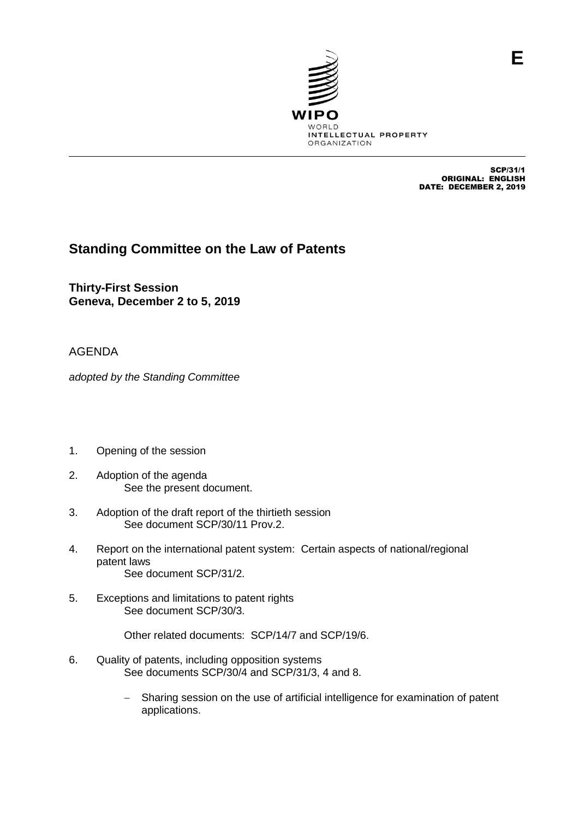

SCP/31/1 ORIGINAL: ENGLISH DATE: DECEMBER 2, 2019

## **Standing Committee on the Law of Patents**

**Thirty-First Session Geneva, December 2 to 5, 2019**

## AGENDA

*adopted by the Standing Committee*

- 1. Opening of the session
- 2. Adoption of the agenda See the present document.
- 3. Adoption of the draft report of the thirtieth session See document SCP/30/11 Prov.2.
- 4. Report on the international patent system: Certain aspects of national/regional patent laws See document SCP/31/2.
- 5. Exceptions and limitations to patent rights See document SCP/30/3.

Other related documents: SCP/14/7 and SCP/19/6.

- 6. Quality of patents, including opposition systems See documents SCP/30/4 and SCP/31/3, 4 and 8.
	- Sharing session on the use of artificial intelligence for examination of patent applications.